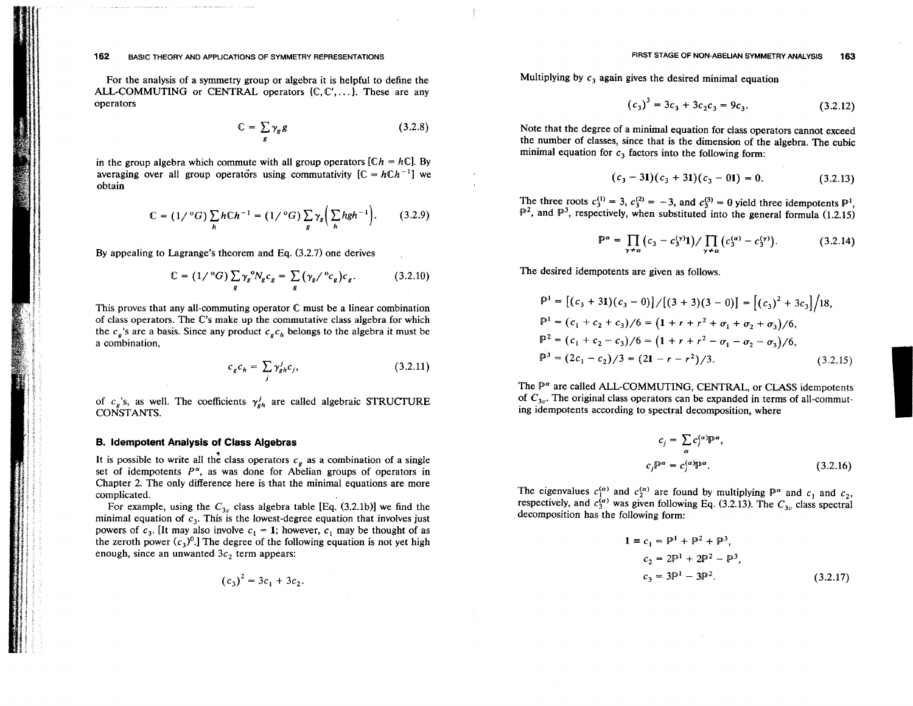For the analysis of a symmetry group or algebra it is helpful to define the ALL-COMMUTING or CENTRAL operators {C, C', ... }. These are any operators

$$
\mathbb{C} = \sum_{g} \gamma_g g \tag{3.2.8}
$$

in the group algebra which commute with all group operators  $[Ch = hC]$ . By averaging over all group operators using commutativity  $[C = hCh^{-1}]$  we obtain

$$
\mathbb{C} = (1/{}^{\circ}G)\sum_{h} hCh^{-1} = (1/{}^{\circ}G)\sum_{g} \gamma_{g} \left(\sum_{h} hgh^{-1}\right). \tag{3.2.9}
$$

By appealing to Lagrange's theorem and Eq. (3.2.7) one derives

$$
\mathbb{C} = (1/{}^{\text{o}}G) \sum_{g} \gamma_g {}^{\text{o}} N_g c_g = \sum_{g} (\gamma_g / {}^{\text{o}} c_g) c_g. \tag{3.2.10}
$$

This proves that any all-commuting operator  $C$  must be a linear combination of class operators. The C's make up the commutative class algebra for which the  $c_s$ 's are a basis. Since any product  $c_s c_h$  belongs to the algebra it must be a combination,

$$
c_g c_h = \sum_j \gamma_{gh}^j c_j,\tag{3.2.11}
$$

of  $c_g$ 's, as well. The coefficients  $\gamma_{gh}^j$  are called algebraic STRUCTURE CONSTANTS.

#### **B. Idempotent Analysis of Class Algebras**

It is possible to write all the class operators  $c_g$  as a combination of a single set of idempotents  $P^{\alpha}$ , as was done for Abelian groups of operators in Chapter 2. The only difference here is that the minimal equations are more complicated.

For example, using the  $C_{3v}$  class algebra table [Eq. (3.2.1b)] we find the minimal equation of  $c_3$ . This is the lowest-degree equation that involves just powers of  $c_3$ . [It may also involve  $c_1 = 1$ ; however,  $c_1$  may be thought of as the zeroth power  $(c_3)^0$ . The degree of the following equation is not yet high enough, since an unwanted  $3c_2$  term appears:

$$
(c_3)^2 = 3c_1 + 3c_2.
$$

Multiplying by  $c_3$  again gives the desired minimal equation

$$
(c_3)^3 = 3c_3 + 3c_2c_3 = 9c_3. \t\t(3.2.12)
$$

Note that the degree of a minimal equation for class operators cannot exceed the number of classes, since that is the dimension of the algebra. The cubic minimal equation for  $c_3$  factors into the following form:

$$
(c_3-31)(c_3+31)(c_3-01)=0.
$$
 (3.2.13)

The three roots  $c_3^{(1)} = 3$ ,  $c_3^{(2)} = -3$ , and  $c_3^{(3)} = 0$  yield three idempotents  $\mathbb{P}^1$ ,  $\mathbb{P}^2$ , and  $\mathbb{P}^3$ , respectively, when substituted into the general formula (1.2.15)

$$
\mathbb{P}^{\alpha} = \prod_{\gamma \neq \alpha} \left( c_3 - c_3^{(\gamma)} 1 \right) / \prod_{\gamma \neq \alpha} \left( c_3^{(\alpha)} - c_3^{(\gamma)} \right). \tag{3.2.14}
$$

The desired idempotents are given as follows.

$$
\mathbb{P}^{1} = [(c_{3} + 31)(c_{3} - 0)] / [(3 + 3)(3 - 0)] = [(c_{3})^{2} + 3c_{3}] / 18,
$$
  
\n
$$
\mathbb{P}^{1} = (c_{1} + c_{2} + c_{3}) / 6 = (1 + r + r^{2} + \sigma_{1} + \sigma_{2} + \sigma_{3}) / 6,
$$
  
\n
$$
\mathbb{P}^{2} = (c_{1} + c_{2} - c_{3}) / 6 = (1 + r + r^{2} - \sigma_{1} - \sigma_{2} - \sigma_{3}) / 6,
$$
  
\n
$$
\mathbb{P}^{3} = (2c_{1} - c_{2}) / 3 = (21 - r - r^{2}) / 3.
$$
 (3.2.15)

The  $\mathbb{P}^{\alpha}$  are called ALL-COMMUTING, CENTRAL, or CLASS idempotents of  $C_{3v}$ . The original class operators can be expanded in terms of all-commuting idempotents according to spectral decomposition, where

$$
c_j = \sum_{\alpha} c_j^{(\alpha)} \mathbb{P}^{\alpha},
$$
  

$$
c_j \mathbb{P}^{\alpha} = c_j^{(\alpha)} \mathbb{P}^{\alpha}.
$$
 (3.2.16)

The eigenvalues  $c_1^{(\alpha)}$  and  $c_2^{(\alpha)}$  are found by multiplying  $\mathbb{P}^{\alpha}$  and  $c_1$  and  $c_2$ , respectively, and  $c_3^{(\alpha)}$  was given following Eq. (3.2.13). The  $C_{3v}$  class spectral decomposition has the following form:

$$
1 \equiv c_1 = P^1 + P^2 + P^3,
$$
  
\n
$$
c_2 = 2P^1 + 2P^2 - P^3,
$$
  
\n
$$
c_3 = 3P^1 - 3P^2.
$$
 (3.2.17)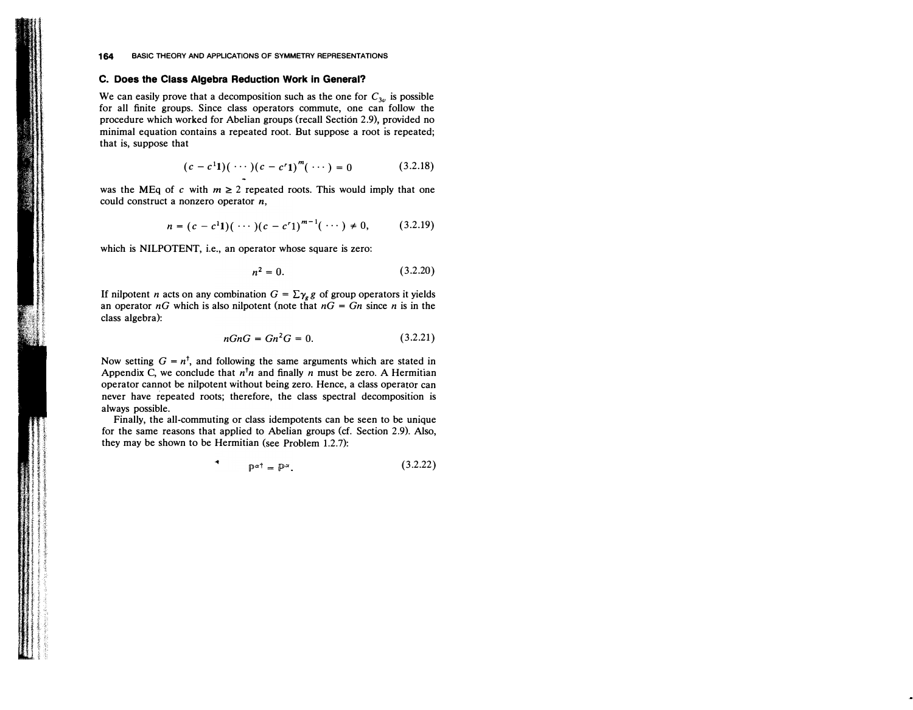# **C. Does the Class Algebra Reduction Work in General?**

**We can easily prove that a decomposition such as the one for C3u is possible for all finite groups. Since class operators commute, one can follow the procedure which worked for Abelian groups (recall Section 2.9), �rovided no** minimal equation contains a repeated root. But suppose a root is repeated: **that is, suppose that**

$$
(c - c11)(\cdots)(c - cr1)m(\cdots) = 0
$$
 (3.2.18)

was the MEq of c with  $m \geq 2$  repeated roots. This would imply that one **could construct a nonzero operator** *n,*

$$
n = (c - c11)(\cdots)(c - cr1)m-1(\cdots) \neq 0, \qquad (3.2.19)
$$

**which is NILPOTENT, i.e., an operator whose square is zero:**

$$
n^2 = 0.\t(3.2.20)
$$

If nilpotent *n* acts on any combination  $G = \sum_{\gamma_g} g$  of group operators it yields an operator  $nG$  which is also nilpotent (note that  $nG = Gn$  since *n* is in the **class algebra):**

$$
nGnG = Gn^2G = 0.
$$
 (3.2.21)

Now setting  $G = n^{\dagger}$ , and following the same arguments which are stated in Appendix C, we conclude that  $n^{\dagger}n$  and finally n must be zero. A Hermitian **operator cannot be nilpotent without being zero. Hence, a class operator can** never have repeated roots; therefore, the class spectral decomposition is **always possible.** 

**. Finally, the all-commuting or class idempotents can be seen to be umque for the same reasons that applied to Abelian groups (cf. Section 2.9). Also, they may be shown to be Hermitian (see Problem 1.2.7):**

 $\bullet$ 

$$
\mathbb{P}^{\alpha \dagger} = \mathbb{P}^{\alpha}.\tag{3.2.22}
$$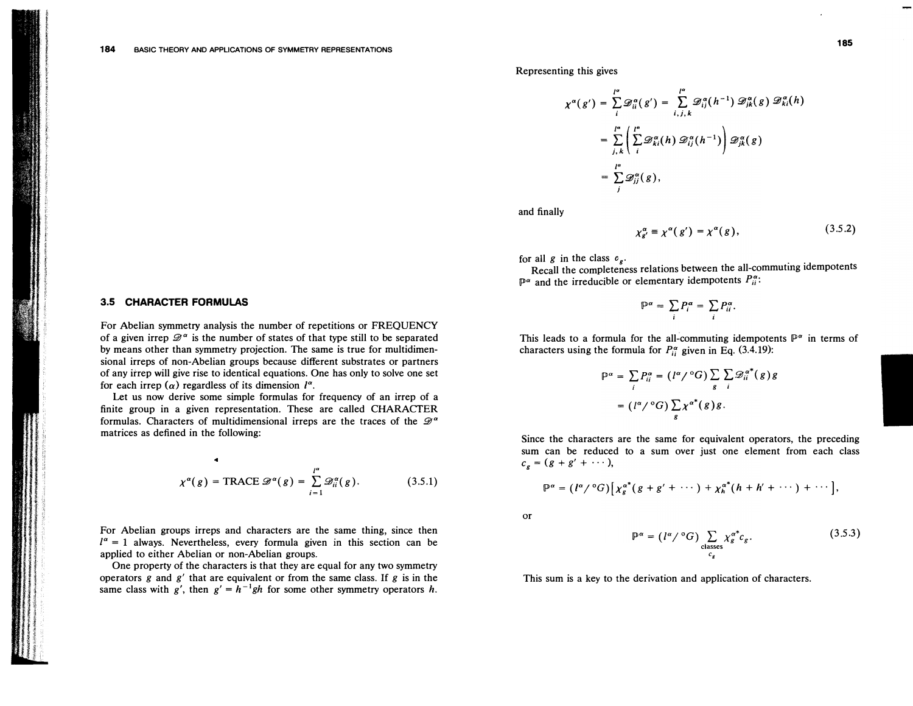# **3.5 CHARACTER FORMULAS**

**For Abelian symmetry analysis the number of repetitions or FREQUENCY**  of a given irrep  $\mathscr{D}^{\alpha}$  is the number of states of that type still to be separated **by means other than symmetry projection. The same is true for multidimensional irreps of non-Abelian groups because different substrates or partners of any itrep will give rise to identical equations. One has only to solve one set**  for each irrep  $(\alpha)$  regardless of its dimension  $l^{\alpha}$ .

**Let us now derive some simple formulas for frequency of an irrep of a finite group in a given representation. These are called CHARACTER**  formulas. Characters of multidimensional irreps are the traces of the  $\mathscr{D}^{\alpha}$ **matrices as defined in the following:** 

$$
\chi^{\alpha}(g) = \text{TRACE } \mathscr{D}^{\alpha}(g) = \sum_{i=1}^{l^{\alpha}} \mathscr{D}_{ii}^{\alpha}(g). \tag{3.5.1}
$$

**For Abelian groups irreps and characters are the same thing, since then**   $I^{\alpha} = 1$  always. Nevertheless, every formula given in this section can be **applied to either Abelian or non-Abelian groups.** 

**One property of the characters is that they are equal for any two symmetry operators g and g' that are equivalent or from the same class. If g is in the** same class with  $g'$ , then  $g' = h^{-1}gh$  for some other symmetry operators h. **Representing this gives** 

$$
\chi^{\alpha}(g') = \sum_{i}^{\infty} \mathcal{D}_{ii}^{\alpha}(g') = \sum_{i,j,k}^{\infty} \mathcal{D}_{ij}^{\alpha}(h^{-1}) \mathcal{D}_{jk}^{\alpha}(g) \mathcal{D}_{ki}^{\alpha}(h)
$$
  
= 
$$
\sum_{j,k}^{\infty} \left( \sum_{i}^{\infty} \mathcal{D}_{ki}^{\alpha}(h) \mathcal{D}_{ij}^{\alpha}(h^{-1}) \right) \mathcal{D}_{jk}^{\alpha}(g)
$$
  
= 
$$
\sum_{j}^{\infty} \mathcal{D}_{ij}^{\alpha}(g),
$$

**and finally** 

$$
\chi_{g'}^{\alpha} \equiv \chi^{\alpha}(g') = \chi^{\alpha}(g), \qquad (3.5.2)
$$

for all g in the class  $c_g$ .

**Recall the completeness relations between the all-commutmg idempotents**  $\mathbb{P}^{\alpha}$  and the irreducible or elementary idempotents  $P_{ii}^{\alpha}$ .

 $\mathbb{P}^{\alpha} = \sum_{i} P_i^{\alpha} = \sum_{i} P_{ii}^{\alpha}.$ 

This leads to a formula for the all-commuting idempotents  $\mathbb{P}^{\alpha}$  in terms of characters using the formula for  $P_{ii}^{\alpha}$  given in Eq. (3.4.19):

$$
\mathbb{P}^{\alpha} = \sum_{i} P_{ii}^{\alpha} = (l^{\alpha} / {}^{\circ}G) \sum_{g} \sum_{i} \mathcal{D}_{ii}^{\alpha^{*}}(g) g
$$

$$
= (l^{\alpha} / {}^{\circ}G) \sum_{g} \chi^{\alpha^{*}}(g) g.
$$

**Since the characters are the same for equivalent operators, the preceding sum can be reduced to a sum over just one element from each class**   $c_e = (g + g' + \cdots),$ 

$$
\mathbb{P}^{\alpha} = (l^{\alpha}/{}^{\circ}G)\big[\chi^{\alpha^{*}}_{g}(g+g'+\cdots)+\chi^{\alpha^{*}}_{h}(h+h'+\cdots)+\cdots\big],
$$

**or** 

$$
\mathbb{P}^{\alpha} = (l^{\alpha} / {}^{\circ}G) \sum_{\substack{\text{classes} \\ c_g}} \chi_g^{\alpha^*} c_g. \tag{3.5.3}
$$

**This sum is a key to the derivation and application of characters.**